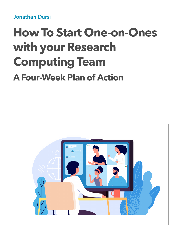**Jonathan Dursi** 

# **How To Start One-on-Ones with your Research Computing Team A Four-Week Plan of Action**

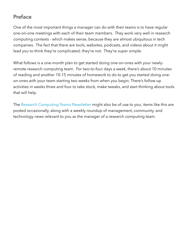# **Preface**

One of the most important things a manager can do with their teams is to have regular one-on-one meetings with each of their team members. They work very well in research computing contexts - which makes sense, because they are almost ubiquitous in tech companies. The fact that there are tools, websites, podcasts, and videos about it might lead you to think they're complicated; they're not. They're super simple.

What follows is a one-month plan to get started doing one-on-ones with your newlyremote research computing team. For two-to-four days a week, there's about 10 minutes of reading and another 10-15 minutes of homework to do to get you started doing oneon-ones with your team starting two weeks from when you begin. There's follow-up activities in weeks three and four to take stock, make tweaks, and start thinking about tools that will help.

The [Research Computing Teams Newsletter](https://newsletter.researchcomputingteams.org) might also be of use to you; items like this are posted occasionally, along with a weekly roundup of management, community, and technology news relevant to you as the manager of a research computing team.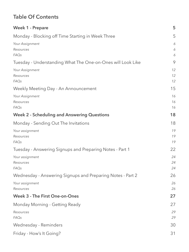# **Table Of Contents**

| <b>Week 1 - Prepare</b>                                     | 5              |
|-------------------------------------------------------------|----------------|
| Monday - Blocking off Time Starting in Week Three           | 5              |
| Your Assignment<br>Resources<br><b>FAQs</b>                 | 6<br>6<br>6    |
| Tuesday - Understanding What The One-on-Ones will Look Like | 9              |
| Your Assignment<br>Resources<br><b>FAQs</b>                 | 12<br>12<br>12 |
| Weekly Meeting Day - An Announcement                        | 15             |
| Your Assignment<br>Resources<br><b>FAQs</b>                 | 16<br>16<br>16 |
| <b>Week 2 - Scheduling and Answering Questions</b>          | 18             |
| Monday - Sending Out The Invitations                        | 18             |
| Your assignment<br>Resources<br><b>FAQs</b>                 | 19<br>19<br>19 |
| Tuesday - Answering Signups and Preparing Notes - Part 1    | 22             |
| Your assignment<br>Resources<br><b>FAQs</b>                 | 24<br>24<br>24 |
| Wednesday - Answering Signups and Preparing Notes - Part 2  | 26             |
| Your assignment<br>Resources                                | 26<br>26       |
| <b>Week 3 - The First One-on-Ones</b>                       | 27             |
| Monday Morning - Getting Ready                              | 27             |
| Resources<br><b>FAQs</b>                                    | 29<br>29       |
| Wednesday - Reminders                                       | 30             |
| Friday - How's It Going?                                    | 31             |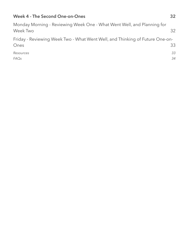## **[Week 4 - The Second One-on-Ones 32](#page-31-0)**

| Monday Morning - Reviewing Week One - What Went Well, and Planning for<br>Week Two   | 32 |
|--------------------------------------------------------------------------------------|----|
| Friday - Reviewing Week Two - What Went Well, and Thinking of Future One-on-<br>Ones | 33 |
| Resources                                                                            | 33 |
| FAQs                                                                                 | 34 |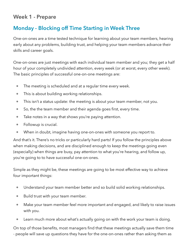# <span id="page-4-0"></span>**Week 1 - Prepare**

# <span id="page-4-1"></span>**Monday - Blocking off Time Starting in Week Three**

One-on-ones are a time tested technique for learning about your team members, hearing early about any problems, building trust, and helping your team members advance their skills and career goals.

One-on-ones are just meetings with each individual team member and you; they get a half hour of your completely undivided attention, every week (or at worst, every other week). The basic principles of successful one-on-one meetings are:

- The meeting is scheduled and at a regular time every week.
- This is about building working relationships.
- This isn't a status update: the meeting is about your team member, not you.
- So, the the team member and their agenda goes first, every time.
- Take notes in a way that shows you're paying attention.
- Followup is crucial.
- When in doubt, imagine having one-on-ones with someone you report to.

And that's it. There's no tricks or particularly hard parts! If you follow the principles above when making decisions, and are disciplined enough to keep the meetings going even (especially) when things are busy, pay attention to what you're hearing, and follow up, you're going to to have successful one-on-ones.

Simple as they might be, these meetings are going to be most effective way to achieve four important things:

- Understand your team member better and so build solid working relationships.
- Build trust with your team member.
- Make your team member feel more important and engaged, and likely to raise issues with you.
- Learn much more about what's actually going on with the work your team is doing.

On top of those benefits, most managers find that these meetings actually save them time - people will save up questions they have for the one-on-ones rather than asking them as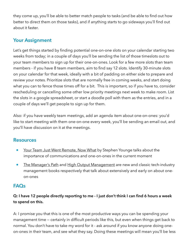they come up, you'll be able to better match people to tasks (and be able to find out how better to direct them on those tasks), and if anything starts to go sideways you'll find out about it faster.

## <span id="page-5-0"></span>**Your Assignment**

Let's get things started by finding potential one-on-one slots on your calendar starting two weeks from today; in a couple of days you'll be sending the list of those timeslots out to your team members to sign up for their one-on-ones. Look for a few more slots than team members - if you have 8 team members, aim to find say 12 slots. Identify 30-minute slots on your calendar for that week, ideally with a bit of padding on either side to prepare and review your notes. Prioritize slots that are normally free in coming weeks, and start doing what you can to fence those times off for a bit. This is important, so if you have to, consider rescheduling or cancelling some other low priority meetings next week to make room. List the slots in a google spreadsheet, or start a doodle poll with them as the entries, and in a couple of days we'll get people to sign up for them.

Also: if you have weekly team meetings, add an agenda item about one-on-ones: you'd like to start meeting with them one-on-one every week, you'll be sending an email out, and you'll have discussion on it at the meetings.

## <span id="page-5-1"></span>**Resources**

- [Your Team Just Went Remote, Now What](https://medium.com/@stephen_younge/your-team-just-went-remote-now-what-b643e58fad61) by Stephen Younge talks about the importance of communications and one-on-ones in the current moment
- [The Manager's Path](http://shop.oreilly.com/product/0636920056843.do) and [High Output Management](https://www.goodreads.com/book/show/324750.High_Output_Management) are new and classic tech-industry management books respectively that talk about extensively and early on about oneon-ones

## <span id="page-5-2"></span>**FAQs**

## **Q: I have 12 people directly reporting to me - I just don't think I can find 6 hours a week to spend on this.**

A: I promise you that this is one of the most productive ways you can be spending your management time — certainly in difficult periods like this, but even when things get back to normal. You don't have to take my word for it - ask around if you know anyone doing oneon-ones in their team, and see what they say. Doing these meetings will mean you'll be less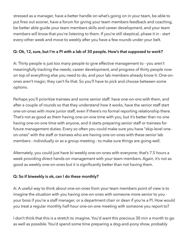stressed as a manager, have a better handle on what's going on in your team, be able to put fires out sooner, have a forum for giving your team members feedback and coaching, be better able guide your team members skills and career development, and your team members will know that you're listening to them. If you're still skeptical, phase it in - start every-other week and move to weekly after you have a few rounds under your belt.

#### **Q: Ok, 12, sure, but I'm a PI with a lab of 30 people. How's that supposed to work?**

A: Thirty people is just too many people to give effective management to - you aren't meaningfully tracking the needs, career development, and progress of thirty people now on top of everything else you need to do, and your lab members already know it. One-onones aren't magic; they can't fix that. So you'll have to pick and choose between some options.

Perhaps you'll prioritize trainees and some senior staff: have one-on-ons with them, and after a couple of rounds so that they understand how it works, have the senior staff start one-on-ones with more junior staff, even if there's no formal reporting relationship there. That's not as good as them having one-on-one time with you, but it's better than no one having one-on-one time with anyone, and it starts preparing senior staff or trainees for future management duties. Every so often you could make sure you have "skip-level oneon-ones" with the staff or trainees who are having one-on-ones with these senior lab members - individually or as a group meeting - to make sure things are going well.

Alternately, you could just have bi-weekly one-on-ones with everyone; that's 7.5 hours a week providing direct hands-on management with your team members. Again, it's not as good as weekly one-on-ones but it is significantly better than not having them.

### **Q: So if biweekly is ok, can I do these monthly?**

A: A useful way to think about one-on-ones from your team members point of view is to imagine the situation with you having one-on-ones with someone more senior to you your boss if you're a staff manager, or a department chair or dean if you're a PI. How would you treat a regular monthly half-hour one-on-one meeting with someone you report to?

I don't think that this is a stretch to imagine. You'd want this precious 30 min a month to go as well as possible. You'd spend some time preparing a dog-and-pony show, probably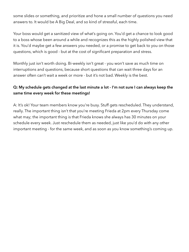some slides or something, and prioritize and hone a small number of questions you need answers to. It would be A Big Deal, and so kind of stressful, each time.

Your boss would get a sanitized view of what's going on. You'd get a chance to look good to a boss whose been around a while and recognizes this as the highly polished view that it is. You'd maybe get a few answers you needed, or a promise to get back to you on those questions, which is good - but at the cost of significant preparation and stress.

Monthly just isn't worth doing. Bi-weekly isn't great - you won't save as much time on interruptions and questions, because short questions that can wait three days for an answer often can't wait a week or more - but it's not bad. Weekly is the best.

## **Q: My schedule gets changed at the last minute a lot - I'm not sure I can always keep the same time every week for these meetings!**

A: It's ok! Your team members know you're busy. Stuff gets rescheduled. They understand, really. The important thing isn't that you're meeting Frieda at 2pm every Thursday come what may; the important thing is that Frieda knows she always has 30 minutes on your schedule every week. Just reschedule them as needed, just like you'd do with any other important meeting - for the same week, and as soon as you know something's coming up.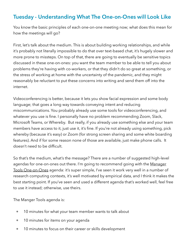# <span id="page-8-0"></span>**Tuesday - Understanding What The One-on-Ones will Look Like**

You know the basic principles of each one-on-one meeting now; what does this mean for how the meetings will go?

First, let's talk about the medium. This is about building working relationships, and while it's probably not literally impossible to do that over text-based chat, it's hugely slower and more prone to missteps. On top of that, there are going to eventually be sensitive topics discussed in these one-on-ones: you want the team member to be able to tell you about problems they're having with co-workers, or that they didn't do so great at something, or the stress of working at home with the uncertainty of the pandemic, and they might reasonably be reluctant to put these concerns into writing and send them off into the internet.

Videoconferencing is better, because it lets you show facial expression and some body language; that goes a long way towards conveying intent and reducing miscommunications. You probably already use some tools for videoconferencing, and whatever you use is fine. I personally have no problem recommending Zoom, Slack, Microsoft Teams, or Whereby. But really, if you already use something else and your team members have access to it, just use it, it's fine. If you're not already using something, pick whereby (because it's easy) or Zoom (for strong screen sharing and some white boarding features). And if for some reason none of those are available, just make phone calls. It doesn't need to be difficult.

So that's the medium, what's the message? There are a number of suggested high-level agendas for one-on-ones out there. I'm going to recommend going with the Manager [Tools One-on-Ones](https://www.manager-tools.com/map-universe/basics) agenda: it's super simple, I've seen it work very well in a number of research computing contexts, it's well motivated by empirical data, and I think it makes the best starting point. If you've seen and used a different agenda that's worked well, feel free to use it instead; otherwise, use theirs.

The Manger Tools agenda is:

- 10 minutes for what your team member wants to talk about
- 10 minutes for items on your agenda
- 10 minutes to focus on their career or skills development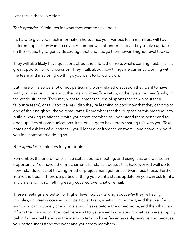Let's tackle these in order:

*Their agenda*: 10 minutes for what they want to talk about.

It's hard to give you much information here, since your various team members will have different topics they want to cover. A number will misunderstand and try to give updates on their tasks; try to gently discourage that and nudge them toward higher-level topics.

They will also likely have questions about the effort, their role, what's coming next; this is a great opportunity for discussion. They'll talk about how things are currently working with the team and may bring up things you want to follow up on.

But there will also be a lot of not particularly work-related discussion they want to have with you. Maybe it'll be about their new home-office setup, or their pets, or their family, or the world situation. They may want to lament the loss of sports (and talk about their favourite team), or talk about a new dish they're learning to cook now that they can't go to one of their neighbourhood restaurants. Remember that the purpose of this meeting is to build a working relationship with your team member, to understand them better and to open up lines of communications. It's a privilege to have them sharing this with you. Take notes and ask lots of questions — you'll learn a lot from the answers — and share in kind if you feel comfortable doing so.

#### *Your agenda*: 10 minutes for your topics.

Remember, the one-on-one isn't a status update meeting, and using it as one wastes an opportunity. You have other mechanisms for status updates that have worked well up to now - standups, ticket tracking or other project management software; use those. Further, You're the boss; if there's a particular thing you want a status update on you can ask for it at any time, and it's something easily covered over chat or email.

These meetings are better for higher level topics - talking about *why* they're having troubles, or great successes, with particular tasks, what's coming next, and the like. If you want, you can routinely check on status of tasks before the one-on-one, and then that can inform the discussion. The goal here isn't to get a weekly update on what tasks are slipping behind - the goal here is in the medium term to have fewer tasks slipping behind because you better understand the work and your team members.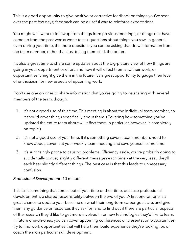This is a good opportunity to give positive or corrective feedback on things you've seen over the past few days; feedback can be a useful way to reinforce expectations.

You might well want to followup from things from previous meetings, or things that have come up from the past weeks work; to ask questions about things you saw. In general, even during your time, the more questions you can be asking that draw information from the team member, rather than just telling them stuff, the better.

It's also a great time to share some updates about the big-picture view of how things are going in your department or effort, and how it will effect them and their work, or opportunities it might give them in the future. It's a great opportunity to gauge their level of enthusiasm for new aspects of upcoming work.

Don't use one on ones to share information that you're going to be sharing with several members of the team, though.

- 1. It's not a good use of this time. This meeting is about the individual team member, so it should cover things specifically about them. (Covering how something you've updated the entire team about will effect them in particular, however, is completely on-topic.)
- 2. It's not a good use of your time. If it's something several team members need to know about, cover it at your weekly team meeting and save yourself some time.
- 3. It's surprisingly prone to causing problems. Efficiency aside, you're probably going to accidentally convey slightly different messages each time - at the very least, they'll each hear slightly different things. The best case is that this leads to unnecessary confusion.

#### *Professional Development*: 10 minutes

This isn't something that comes out of your time or their time, because professional development is a shared responsibility between the two of you. A first one-on-one is a great chance to update your baseline on what their long-term career goals are, and give them any guidance or resources they ask for; and to find out if there are particular aspects of the research they'd like to get more involved in or new technologies they'd like to learn. In future one-on-ones, you can cover upcoming conferences or presentation opportunities, try to find work opportunities that will help them build experience they're looking for, or coach them on particular skill development.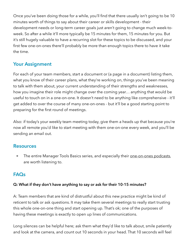Once you've been doing those for a while, you'll find that there usually isn't going to be 10 minutes worth of things to say about their career or skills development - their development needs or long-term career goals just aren't going to change much week-toweek. So after a while it'll more typically be 15 minutes for them, 15 minutes for you. But it's still hugely valuable to have a recurring slot for these topics to be discussed, and your first few one-on-ones there'll probably be more than enough topics there to have it take the time.

## <span id="page-11-0"></span>**Your Assignment**

For each of your team members, start a document or (a page in a document) listing them, what you know of their career plans, what they're working on, things you've been meaning to talk with them about, your current understanding of their strengths and weaknesses, how you imagine their role might change over the coming year… anything that would be useful to touch on in a one-on-one. It doesn't need to be anything like comprehensive - it'll get added to over the course of many one-on-ones - but it'll be a good starting point to preparing for the first round of meetings.

Also: if today's your weekly team meeting today, give them a heads up that because you're now all remote you'd like to start meeting with them one-on-one every week, and you'll be sending an email out.

## <span id="page-11-1"></span>**Resources**

• The entire Manager Tools Basics series, and especially their [one-on-ones podcasts,](https://www.manager-tools.com/map-universe/basics) are worth listening to.

# <span id="page-11-2"></span>**FAQs**

### **Q: What if they don't have anything to say or ask for their 10-15 minutes?**

A: Team members that are kind of distrustful about this new practice might be kind of reticent to talk or ask questions. It may take them several meetings to really start trusting this whole one-on-one thing and start opening up. That's ok; one of the purposes of having these meetings is exactly to open up lines of communications.

Long silences can be helpful here; ask them what they'd like to talk about, smile patiently and look at the camera, and count out 10 seconds in your head. That 10 seconds will feel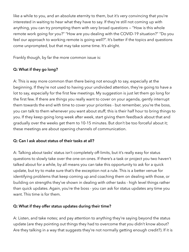like a while to you, and an absolute eternity to them, but it's very convincing that you're interested in waiting to hear what they have to say. If they're still not coming up with anything, you can try prompting them with very broad questions — "How is this whole remote work going for you?" "How are you dealing with the COVID-19 situation?" "Do you feel our approach to working remote is going well?". It's better if the topics and questions come unprompted, but that may take some time. It's alright.

Frankly though, by far the more common issue is:

## **Q: What if they go long?**

A: This is way more common than there being not enough to say, especially at the beginning. If they're not used to having your undivided attention, they're going to have a lot to say, especially for the first few meetings. My suggestion is just let them go long for the first few. If there are things you really want to cover on your agenda, gently interrupt them towards the end with time to cover your priorities - but remember, you're the boss, you can talk to them whenever you want about stuff; this is their half hour to bring things to you. If they keep going long week after week, start giving them feedback about that and gradually over the weeks get them to 10-15 minutes. But don't be too forceful about it; these meetings are about opening channels of communication.

#### **Q: Can I ask about status of their tasks at all?**

A: Talking about tasks' status isn't completely off-limits, but it's really easy for status questions to slowly take over the one-on-ones. If there's a task or project you two haven't talked about for a while, by all means you can take this opportunity to ask for a quick update, but try to make sure that's the exception not a rule. This is a better venue for identifying problems that keep coming up and coaching them on dealing with those, or building on strengths they've shown in dealing with other tasks - high level things rather than quick updates. Again, you're the boss - you can ask for status updates any time you want. This time is for them.

### **Q: What if they offer status updates during their time?**

A: Listen, and take notes; and pay attention to anything they're saying beyond the status update (are they pointing out things they had to overcome that you didn't know about? Are they talking in a way that suggests they're not normally getting enough credit?). If it is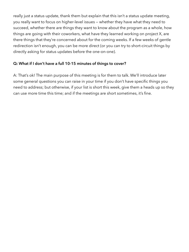really just a status update, thank them but explain that this isn't a status update meeting, you really want to focus on higher-level issues — whether they have what they need to succeed, whether there are things they want to know about the program as a whole, how things are going with their coworkers, what have they learned working on project X, are there things that they're concerned about for the coming weeks. If a few weeks of gentle redirection isn't enough, you can be more direct (or you can try to short-circuit things by directly asking for status updates before the one-on-one).

## **Q: What if I don't have a full 10-15 minutes of things to cover?**

A: That's ok! The main purpose of this meeting is for them to talk. We'll introduce later some general questions you can raise in your time if you don't have specific things you need to address; but otherwise, if your list is short this week, give them a heads up so they can use more time this time; and if the meetings are short sometimes, it's fine.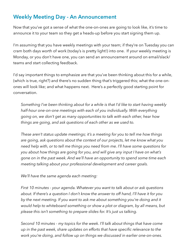# <span id="page-14-0"></span>**Weekly Meeting Day - An Announcement**

Now that you've got a sense of what the one-on-ones are going to look like, it's time to announce it to your team so they get a heads-up before you start signing them up.

I'm assuming that you have weekly meetings with your team; if they're on Tuesday you can cram both days worth of work (today's is pretty light!) into one. If your weekly meeting is Monday, or you don't have one, you can send an announcement around on email/slack/ teams and start collecting feedback.

I'd say important things to emphasize are that you've been thinking about this for a while, (which is true, right?) and there's no sudden thing that's triggered this; what the one-onones will look like; and what happens next. Here's a perfectly good starting point for conversation.

*Something I've been thinking about for a while is that I'd like to start having weekly half-hour one-on-one meetings with each of you individually. With everything going on, we don't get as many opportunities to talk with each other, hear how things are going, and ask questions of each other as we used to.* 

*These aren't status update meetings; it's a meeting for you to tell me how things are going, ask questions about the context of our projects, let me know what you need help with, or to tell me things you need from me. I'll have some questions for you about how things are going for you, and will give any input I have on what's gone on in the past week. And we'll have an opportunity to spend some time each meeting talking about your professional development and career goals.* 

*We'll have the same agenda each meeting:* 

*First 10 minutes - your agenda. Whatever you want to talk about or ask questions about. If there's a question I don't know the answer to off hand, I'll have it for you by the next meeting. If you want to ask me about something you're doing and it would help to whiteboard something or show a plot or diagram, by all means, but please this isn't something to prepare slides for. It's just us talking.* 

*Second 10 minutes - my topics for the week. I'll talk about things that have come up in the past week, share updates on efforts that have specific relevance to the work you're doing, and follow up on things we discussed in earlier one-on-ones.*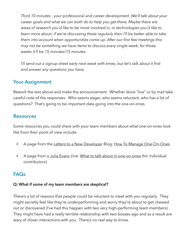*Third 10 minutes - your professional and career development. We'll talk about your career goals and what we can both do to help you get there. Maybe there are areas of research you'd like to be more involved in, or technologies you'd like to learn more about; if we're discussing these regularly then I'll be better able to take them into account when opportunities come up. After our first few meetings this may not be something we have items to discuss every single week; for those weeks it'll be 15 minutes/15 minutes.* 

*I'll send out a signup sheet early next week with times, but let's talk about it first and answer any questions you have.* 

## <span id="page-15-0"></span>**Your Assignment**

Rework the text above and make the announcement. Whether done "live" or by mail take careful note of the responses. Who seems eager, who seems reluctant, who has a lot of questions? That's going to be important data going into the one-on-ones.

## <span id="page-15-1"></span>**Resources**

Some resources you could share with your team members about what one-on-ones look like from their point of view include:

- A page from the [Letters to a New Developer](https://letterstoanewdeveloper.com/) Blog: [How To Manage One-On-Ones.](https://letterstoanewdeveloper.com/2020/03/16/how-to-manage-one-to-ones/)
- A page from [a Julia Evans](https://jvns.ca/) zine: [What to talk about in one-on-ones](https://wizardzines.com/comics/1-1s/) (for individual contributors).

## <span id="page-15-2"></span>**FAQs**

#### **Q: What if some of my team members are skeptical?**

There's a lot of reasons that people could be reluctant to meet with you regularly. They might secretly feel like they're underperforming and worry they're about to get chewed out or discovered (I've had this happen with two *very* high-performing team members). They might have had a really terrible relationship with two-bosses-ago and as a result are wary of closer interactions with you. There's no real way to know.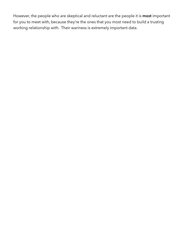However, the people who are skeptical and reluctant are the people it is **most** important for you to meet with, because they're the ones that you most need to build a trusting working relationship with. Their wariness is extremely important data.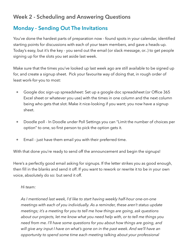# <span id="page-17-0"></span>**Week 2 - Scheduling and Answering Questions**

# <span id="page-17-1"></span>**Monday - Sending Out The Invitations**

You've done the hardest parts of preparation now - found spots in your calendar, identified starting points for discussions with each of your team members, and gave a heads-up. Today's easy, but it's the key - you send out the email (or slack message, or..) to get people signing up for the slots you set aside last week.

Make sure that the times you've looked up last week ago are still available to be signed up for, and create a signup sheet. Pick your favourite way of doing that, in rough order of least work-for-you to most:

- Google doc sign-up spreadsheet: Set up a google doc spreadsheet (or Office 365 Excel sheet or whatever you use) with the times in one column and the next column being who gets that slot. Make it nice-looking if you want; you now have a signup sheet.
- Doodle poll In Doodle under Poll Settings you can "Limit the number of choices per option" to one, so first person to pick the option gets it.
- Email just have them email you with their preferred time.

With that done you're ready to send off the announcement and begin the signups!

Here's a perfectly good email asking for signups. If the letter strikes you as good enough, then fill in the blanks and send it off. If you want to rework or rewrite it to be in your own voice, absolutely do so: but send it off.

#### *Hi team:*

*As I mentioned last week, I'd like to start having weekly half-hour one-on-one meetings with each of you individually. As a reminder, these aren't status update meetings; it's a meeting for you to tell me how things are going, ask questions about our projects, let me know what you need help with, or to tell me things you need from me. I'll have some questions for you about how things are going, and*  will give any input I have on what's gone on in the past week. And we'll have an *opportunity to spend some time each meeting talking about your professional*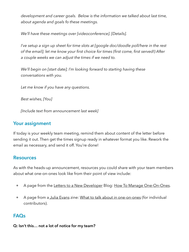*development and career goals. Below is the information we talked about last time, about agenda and goals fo these meetings.* 

*We'll have these meetings over [videoconference]. [Details].* 

*I've setup a sign up sheet for time slots at [google doc/doodle poll/here in the rest of the email]; let me know your first choice for times (first come, first served!) After a couple weeks we can adjust the times if we need to.* 

*We'll begin on [start date]; I'm looking forward to starting having these conversations with you.* 

*Let me know if you have any questions.* 

*Best wishes, [You]* 

*[Include text from announcement last week]* 

## <span id="page-18-0"></span>**Your assignment**

If today is your weekly team meeting, remind them about content of the letter before sending it out. Then get the times signup ready in whatever format you like. Rework the email as necessary, and send it off. You're done!

## <span id="page-18-1"></span>**Resources**

As with the heads-up announcement, resources you could share with your team members about what one-on-ones look like from their point of view include:

- A page from the [Letters to a New Developer](https://letterstoanewdeveloper.com/) Blog: [How To Manage One-On-Ones.](https://letterstoanewdeveloper.com/2020/03/16/how-to-manage-one-to-ones/)
- A page from [a Julia Evans](https://jvns.ca/) zine: [What to talk about in one-on-ones](https://wizardzines.com/comics/1-1s/) (for individual contributors).

## <span id="page-18-2"></span>**FAQs**

**Q: Isn't this… not a lot of notice for my team?**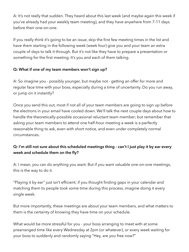A: It's not really that sudden. They heard about this last week (and maybe again this week if you've already had your weekly team meeting), and they have anywhere from 7-11 days before their one-on-one.

If you really think it's going to be an issue, skip the first few meeting times in the list and have them starting in the following week (week four) give you and your team an extra couple of days to talk it through. But it's not like they have to prepare a presentation or something for the first meeting. It's you and each of them talking.

### **Q: What if one of my team members won't sign up?**

A: So imagine you - possibly younger, but maybe not - getting an offer for more and regular face time with your boss, especially during a time of uncertainty. Do you run away, or jump on it instantly?

Once you send this out, most if not all of your team members are going to sign up before the electrons in your email have cooled down. We'll talk the next couple days about how to handle the theoretically-possible occasional reluctant team member; but remember that asking your team members to attend one half-hour meeting a week is a perfectly reasonable thing to ask, even with short notice, and even under completely normal circumstances.

## **Q: I'm still not sure about this scheduled meetings thing - can't I just play it by ear every week and schedule them on the fly?**

A: I mean, you can do anything you want. But if you want valuable one-on-one meetings, this is the way to do it.

"Playing it by ear" just isn't efficient; if you thought finding gaps in your calendar and matching them to people took some time during this process, imagine doing it every single week.

But more importantly, these meetings are about your team members, and what matters to them is the certainty of knowing they have time on your schedule.

What would be more stressful for you - your boss arranging to meet with at some prearranged time like every Wednesday at 2pm (or whatever), or every week waiting for your boss to suddenly and randomly saying "Hey, are you free now?"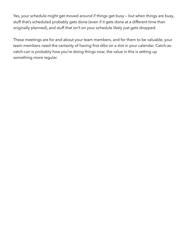Yes, your schedule might get moved around if things get busy — but when things are busy, stuff that's scheduled probably gets done (even if it gets done at a different time than originally planned), and stuff that isn't on your schedule likely just gets dropped.

These meetings are for and about your team members, and for them to be valuable, your team members need the certainty of having first dibs on a slot in your calendar. Catch-ascatch-can is probably how you're doing things now; the value in this is setting up something more regular.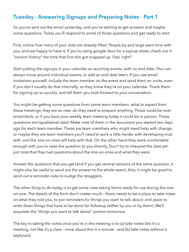# <span id="page-21-0"></span>**Tuesday - Answering Signups and Preparing Notes - Part 1**

So you've sent out the email yesterday, and you're starting to get answers and maybe some questions. Today you'll respond to some of those questions and get ready to start.

First, notice how many of your slots are already filled. People by and large want time with you, and are happy to have it. If you're using google docs for a signup sheet, check out in "version history" the time that first slot got snapped up. Fast, right?

Start putting the signups in your calendar as recurring events, with no end date. (You can always move around individual events, or add an end date later). If you use email invitations yourself, include the team member on the event and send them an invite, even if you don't usually do that internally, so they know they're on your calendar. Thank them for signing up so quickly, and tell them you look forward to your conversation.

You might be getting some questions from some team members: what to expect from these meetings, they are so new, do they need to prepare anything. Those could be over email/slack, or if you have your weekly team meeting today it could be in person. These questions are (qualitative) data! Make note of them in the document you started two days ago for each team member. These are team members who might need help with change, or maybe they are team members you'll need to work a little harder with developing trust with, and the one-on-ones will help with that. On the other hand they were comfortable enough with you to raise the question to you directly. Don't try to interpret the data yet just note that they had questions about the one-on-ones and what they were.

Answer the questions that you get (and if you get several versions of the same question, it might also be useful to send out the answer to the whole team). Also, it might be good to send out a reminder note to nudge the stragglers.

The other thing to do today is to get some note-taking forms ready for use during the oneon-one. The details of the form don't matter much - there needs to be a place to take notes on what they told you; to put reminders for things you want to talk about; and place to write down things that have to be done for followup (either by you or by them). We'll populate the "things you want to talk about" portion tomorrow.

The key to taking the notes once you're in the meeting is to (a) take notes like it's a meeting, not like it's a class - more about this in a minute - and (b) take notes without a keyboard.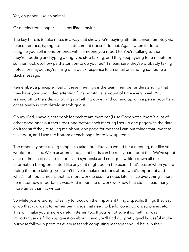Yes, on paper. Like an animal.

Or on electronic paper - I use my iPad + stylus.

The key here is to take notes in a way that show you're paying attention. Even remotely via teleconference, typing notes in a document doesn't do that. Again, when in doubt, imagine yourself in one-on-ones with someone you report to. You're talking to them, they're nodding and typing along; you stop talking, and they keep typing for a minute or so, then look up. How paid-attention-to do you feel? I mean, sure, they're probably taking notes - or maybe they're firing off a quick response to an email or sending someone a slack message.

Remember, a principle goal of these meetings is the team member understanding that they have your undivided attention for a non-trivial amount of time every week. You leaning off to the side, scribbling something down, and coming up with a pen in your hand occasionally is completely unambiguous.

On my iPad, I have a notebook for each team member (I use Goodnotes, there's a lot of other good ones out there too), and before each meeting I set up one page with the date on it for stuff they're telling me about, one page for me that I can put things that I want to talk about, and I use the bottom of each page for follow-up items.

The other key note-taking thing is to take notes like you would for a meeting, not like you would for a class. We in academia-adjacent fields can be really bad about this. We've spent a lot of time in class and lectures and symposia and colloquia writing down all the information being presented like any of it might be on the exam. That's easier when you're doing the note taking - you don't have to make decisions about what's important and what's not - but it means that it's more work to use the notes later, since everything's there no matter how important it was. And in our line of work we know that stuff is read many more times than it's written.

So while you're taking notes, try to focus on the important things; specific things they say or do that you want to remember, things that need to be followed up on, surprises, etc. This will make you a more careful listener, too. If you're not sure if something was important, ask a followup question about it and you'll find out pretty quickly. Useful multipurpose followup prompts every research computing manager should have in their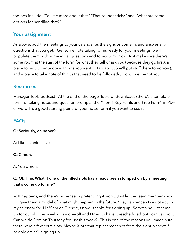toolbox include: "Tell me more about that." "That sounds tricky." and "What are some options for handling that?"

## <span id="page-23-0"></span>**Your assignment**

As above; add the meetings to your calendar as the signups come in, and answer any questions that you get. Get some note taking forms ready for your meetings; we'll populate them with some initial questions and topics tomorrow. Just make sure there's some room at the start of the form for what they tell or ask you (because they go first), a place for you to write down things you want to talk about (we'll put stuff there tomorrow), and a place to take note of things that need to be followed-up on, by either of you.

## <span id="page-23-1"></span>**Resources**

[Manager-Tools podcast](https://www.manager-tools.com/2005/07/the-single-most-effective-management-tool-part-1) - At the end of the page (look for downloads) there's a template form for taking notes and question prompts: the "1-on-1 Key Points and Prep Form", in PDF or word. It's a good starting point for your notes form if you want to use it.

## <span id="page-23-2"></span>**FAQs**

#### **Q: Seriously, on paper?**

A: Like an animal, yes.

#### **Q: C'mon.**

A: You c'mon.

## **Q: Ok, fine. What if one of the filled slots has already been stomped on by a meeting that's come up for me?**

A: It happens, and there's no sense in pretending it won't. Just let the team member know; it'll give them a model of what might happen in the future. "Hey Lawrence - I've got you in my calendar for 11:30am on Tuesdays now - thanks for signing up! Something just came up for our slot this week - it's a one-off and I tried to have it rescheduled but I can't avoid it. Can we do 3pm on Thursday for just this week?" This is one of the reasons you made sure there were a few extra slots. Maybe X-out that replacement slot from the signup sheet if people are still signing up.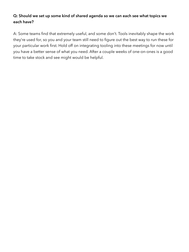## **Q: Should we set up some kind of shared agenda so we can each see what topics we each have?**

A: Some teams find that extremely useful, and some don't. Tools inevitably shape the work they're used for, so you and your team still need to figure out the best way to run these for your particular work first. Hold off on integrating tooling into these meetings for now until you have a better sense of what you need. After a couple weeks of one-on-ones is a good time to take stock and see might would be helpful.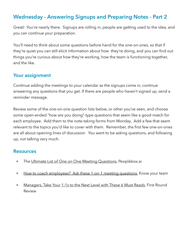# <span id="page-25-0"></span>**Wednesday - Answering Signups and Preparing Notes - Part 2**

Great! You're nearly there. Signups are rolling in, people are getting used to the idea, and you can continue your preparation.

You'll need to think about some questions before hand for the one-on-ones, so that if they're quiet you can still elicit information about how they're doing, and you can find out things you're curious about how they're working, how the team is functioning together, and the like.

## <span id="page-25-1"></span>**Your assignment**

Continue adding the meetings to your calendar as the signups come in, continue answering any questions that you get. If there are people who haven't signed up, send a reminder message.

Review some of the one-on-one question lists below, or other you've seen, and choose some open-ended "how are you doing"-type questions that seem like a good match for each employee. Add them to the note-taking forms from Monday. Add a few that seem relevant to the topics you'd like to cover with them. Remember, the first few one-on-ones are all about opening lines of discussion You want to be asking questions, and following up, not talking very much.

### <span id="page-25-2"></span>**Resources**

- The [Ultimate List of One on One Meeting Questions,](https://www.peoplebox.ai/t/one-on-one-meeting-template-manager-questions-list) Peoplebox.ai
- [How to coach employees? Ask these 1-on-1 meeting questions](https://knowyourteam.com/blog/2020/02/19/how-to-coach-employees-ask-these-1-on-1-meeting-questions/), Know your team
- [Managers, Take Your 1:1s to the Next Level with These 6 Must Reads](https://firstround.com/review/managers-take-your-1-1s-to-the-next-level-with-these-6-must-reads/), First Round Review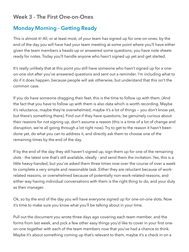# <span id="page-26-0"></span>**Week 3 - The First One-on-Ones**

# <span id="page-26-1"></span>**Monday Morning - Getting Ready**

This is almost it! All, or at least most, of your team has signed up for one-on-ones; by the end of the day you will have had your team meeting at some point where you'll have either given the team members a heads-up or answered some questions; you have note sheets ready for notes. Today you'll handle anyone who hasn't signed up yet and get started.

It's really unlikely that at this point you still have someone who hasn't signed up for a oneon-one slot after you've answered questions and sent out a reminder. I'm including what to do if it does happen, because people will ask otherwise, but understand that this isn't the common case.

If you do have someone dragging their feet, this is the time to follow up with them. (And the fact that you have to follow up with them is also data which is worth recording. Maybe it's reluctance, maybe they're overwhelmed, maybe it's a lot of things — you don't know yet, but there's something there). Find out if they have questions; be genuinely curious about their reasons for not signing up, don't assume a reason (this is a time of a lot of change and disruption, we're all going through a lot right now). Try to get to the reason it hasn't been done yet, do what you can to address it, and directly ask them to choose one of the remaining times by the end of the day.

If by the end of the day they still haven't signed up, sign them up for one of the remaining slots - the latest one that's still available, ideally - and send them the invitation. Yes, this is a little heavy-handed, but you've asked them three times now over the course of over a week to complete a very simple and reasonable task. Either they are reluctant because of workrelated reasons, or overwhelmed because of potentially non-work-related-reasons, and either way having individual conversations with them is the right thing to do, and your duty as their manager.

Ok, so by the end of the day you will have everyone signed up for one-on-one slots. Now it's time to make sure you know what you'll be talking about in your time.

Pull out the document you wrote three days ago covering each team member, and the forms from last week, and pick a few other easy things you'd like to cover in your first oneon-one together with each of the team members now that you've had a chance to think. Maybe it's about something coming up that's relevant to them, maybe it's a check in on a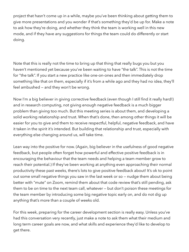project that hasn't come up in a while, maybe you've been thinking about getting them to give more presentations and you wonder if that's something they'd be up for. Make a note to ask how they're doing, and whether they think the team is working well in this new mode, and if they have any suggestions for things the team could do differently or start doing.

Note that this is really not the time to bring up that thing that really bugs you but you haven't mentioned yet because you've been waiting to have "the talk". This is not the time for "the talk". If you start a new practice like one-on-ones and then immediately drop something like that on them, especially if it's from a while ago and they had no idea, they'll feel ambushed — and they won't be wrong.

Now I'm a big believer in giving corrective feedback (even though I still find it really hard!) and in research computing, not giving enough negative feedback is a much bigger problem than giving too much. But this meeting series is about them, and developing a solid working relationship and trust. When that's done, then among other things it will be easier for you to give and them to receive respectful, helpful, negative feedback, and have it taken in the spirit it's intended. But building that relationship and trust, especially with everything else changing around us, will take time.

Lean way into the positive for now. (Again, big believer in the usefulness of good negative feedback, but people often forget how powerful and effective positive feedback is in encouraging the behaviour that the team needs and helping a team member grow to reach their potential.) If they've been working at anything even approaching their normal productivity these past weeks, there's lots to give positive feedback about! It's ok to point out some small negative things you saw in the last week or so — nudge them about being better with "mute" on Zoom, remind them about that code review that's still pending, ask them to be on time to the next team call, whatever — but don't poison these meetings for the team member by introducing some big negative topic early on, and do not dig up anything that's more than a couple of weeks old.

For this week, preparing for the career development section is really easy. Unless you've had this conversation very recently, just make a note to ask them what their medium and long term career goals are now, and what skills and experience they'd like to develop to get there.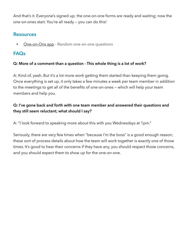And that's it. Everyone's signed up; the one-on-one forms are ready and waiting; now the one-on-ones start. You're all ready — you can do this!

## <span id="page-28-0"></span>**Resources**

• [One-on-Ons app](https://one-on-ones.app/) - Random one-on-one questions

## <span id="page-28-1"></span>**FAQs**

#### **Q: More of a comment than a question - This whole thing is a lot of work?**

A: Kind of, yeah. But it's a lot more work getting them started than keeping them going. Once everything is set up, it only takes a few minutes a week per team member in addition to the meetings to get all of the benefits of one-on-ones — which will help your team members and help you.

## **Q: I've gone back and forth with one team member and answered their questions and they still seem reluctant; what should I say?**

A: "I look forward to speaking more about this with you Wednesdays at 1pm."

Seriously, there are very few times when "because I'm the boss" is a good enough reason; these sort of process details about how the team will work together is exactly one of those times. It's good to hear their concerns if they have any, you should respect those concerns, and you should expect them to show up for the one-on-one.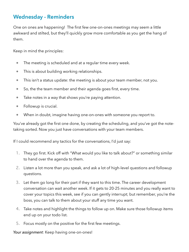# <span id="page-29-0"></span>**Wednesday - Reminders**

One on ones are happening! The first few one-on-ones meetings may seem a little awkward and stilted, but they'll quickly grow more comfortable as you get the hang of them.

Keep in mind the principles:

- The meeting is scheduled and at a regular time every week.
- This is about building working relationships.
- This isn't a status update: the meeting is about your team member, not you.
- So, the the team member and their agenda goes first, every time.
- Take notes in a way that shows you're paying attention.
- Followup is crucial.
- When in doubt, imagine having one-on-ones with someone you report to.

You've already got the first one done, by creating the scheduling, and you've got the notetaking sorted. Now you just have conversations with your team members.

If I could recommend any tactics for the conversations, I'd just say:

- 1. They go first. Kick off with "What would you like to talk about?" or something similar to hand over the agenda to them.
- 2. Listen a lot more than you speak, and ask a lot of high-level questions and followup questions.
- 3. Let them go long for their part if they want to this time. The career development conversation can wait another week. If it gets to 20-25 minutes and you really want to cover your topics this week, see if you can gently interrupt; but remember, you're the boss, you can talk to them about your stuff any time you want.
- 4. Take notes and highlight the things to follow up on. Make sure those followup items end up on your todo list.
- 5. Focus mostly on the positive for the first few meetings.

*Your assignment*: Keep having one-on-ones!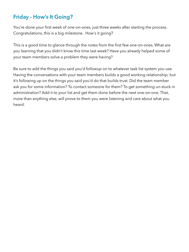# <span id="page-30-0"></span>**Friday - How's It Going?**

You're done your first week of one-on-ones, just three weeks after starting the process. Congratulations, this is a big milestone. How's it going?

This is a good time to glance through the notes from the first few one-on-ones. What are you learning that you didn't know this time last week? Have you already helped some of your team members solve a problem they were having?

Be sure to add the things you said you'd followup on to whatever task list system you use. Having the conversations with your team members builds a good working relationship; but it's following up on the things you said you'd do that builds trust. Did the team member ask you for some information? To contact someone for them? To get something un-stuck in administration? Add it to your list and get them done before the next one-on-one. That, more than anything else, will prove to them you were listening and care about what you heard.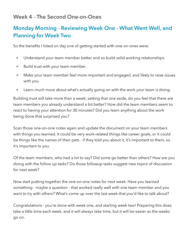# <span id="page-31-0"></span>**Week 4 - The Second One-on-Ones**

# <span id="page-31-1"></span>**Monday Morning - Reviewing Week One - What Went Well, and Planning for Week Two**

So the benefits I listed on day one of getting started with one-on-ones were:

- Understand your team member better and so build solid working relationships.
- Build trust with your team member.
- Make your team member feel more important and engaged, and likely to raise issues with you.
- Learn much more about what's actually going on with the work your team is doing.

Building trust will take more than a week; setting that one aside, do you feel that there are team members you already understand a bit better? How did the team members seem to react to having your attention for 30 minutes? Did you learn anything about the work being done that surprised you?

Scan those one-on-one notes again and update the document on your team members with things you learned. It could be very work-related things like career goals, or it could be things like the names of their pets - if they told you about it, it's important to them, so it's important to you.

Of the team members, who had a lot to say? Did some go better than others? How are you doing with the follow up tasks? Do those followup tasks suggest new topics of discussion for next week?

Now start putting together the one-on-one notes for next week. Have you learned something - maybe a question - that worked really well with one team member and you want to try with others? What's come up over the last week that you'd like to talk about?

Congratulations - you're done with week one, and starting week two! Preparing this does take a little time each week, and it will always take time, but it will be easier as the weeks go on.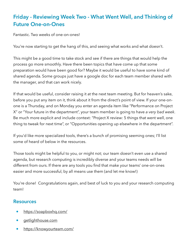# <span id="page-32-0"></span>**Friday - Reviewing Week Two - What Went Well, and Thinking of Future One-on-Ones**

Fantastic. Two weeks of one-on-ones!

You're now starting to get the hang of this, and seeing what works and what doesn't.

This might be a good time to take stock and see if there are things that would help the process go more smoothly. Have there been topics that have come up that some preparation would have been good for? Maybe it would be useful to have some kind of shared agenda. Some groups just have a google doc for each team member shared with the manager, and that can work nicely.

If that would be useful, consider raising it at the next team meeting. But for heaven's sake, before you put any item on it, think about it from the direct's point of view. If your one-onone is a Thursday, and on Monday you enter an agenda item like "Performance on Project X" or "Your future in the department", your team member is going to have *a very bad week*. Be much more explicit and include context: "Project X review: 5 things that went well, one thing to tweak for next time", or "Opportunities opening up elsewhere in the department".

If you'd like more specialized tools, there's a bunch of promising seeming ones; I'll list some of heard of below in the resources.

Those tools might be helpful to you, or might not; our team doesn't even use a shared agenda, but research computing is incredibly diverse and your teams needs will be different from ours. If there are any tools you find that make your teams' one-on-ones easier and more successful, by all means use them (and let me know!)

You're done! Congratulations again, and best of luck to you and your research computing team!

### <span id="page-32-1"></span>**Resources**

- <https://soapboxhq.com/>
- [getlighthouse.com](http://getlighthouse.com/)
- <https://knowyourteam.com/>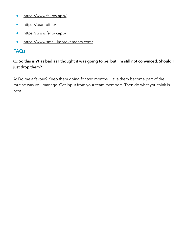- <https://www.fellow.app/>
- <https://teambit.io/>
- <https://www.fellow.app/>
- <https://www.small-improvements.com/>

## <span id="page-33-0"></span>**FAQs**

## **Q: So this isn't as bad as I thought it was going to be, but I'm still not convinced. Should I just drop them?**

A: Do me a favour? Keep them going for two months. Have them become part of the routine way you manage. Get input from your team members. Then do what you think is best.